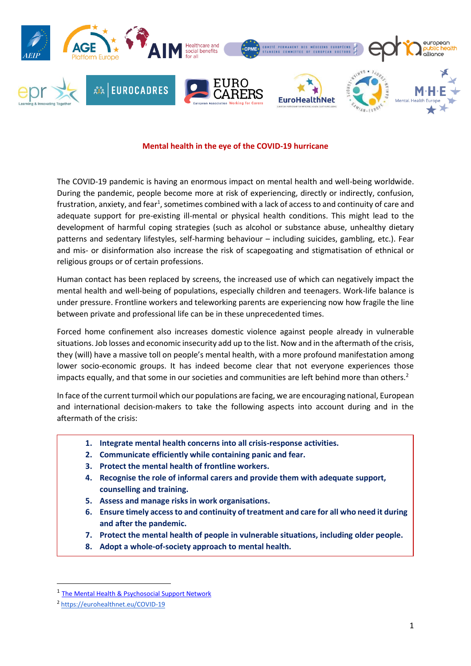

#### **Mental health in the eye of the COVID-19 hurricane**

The COVID-19 pandemic is having an enormous impact on mental health and well-being worldwide. During the pandemic, people become more at risk of experiencing, directly or indirectly, confusion, frustration, anxiety, and fear<sup>1</sup>, sometimes combined with a lack of access to and continuity of care and adequate support for pre-existing ill-mental or physical health conditions. This might lead to the development of harmful coping strategies (such as alcohol or substance abuse, unhealthy dietary patterns and sedentary lifestyles, self-harming behaviour – including suicides, gambling, etc.). Fear and mis- or disinformation also increase the risk of scapegoating and stigmatisation of ethnical or religious groups or of certain professions.

Human contact has been replaced by screens, the increased use of which can negatively impact the mental health and well-being of populations, especially children and teenagers. Work-life balance is under pressure. Frontline workers and teleworking parents are experiencing now how fragile the line between private and professional life can be in these unprecedented times.

Forced home confinement also increases domestic violence against people already in vulnerable situations. Job losses and economic insecurity add up to the list. Now and in the aftermath of the crisis, they (will) have a massive toll on people's mental health, with a more profound manifestation among lower socio-economic groups. It has indeed become clear that not everyone experiences those impacts equally, and that some in our societies and communities are left behind more than others.<sup>2</sup>

In face of the current turmoil which our populations are facing, we are encouraging national, European and international decision-makers to take the following aspects into account during and in the aftermath of the crisis:

- **1. Integrate mental health concerns into all crisis-response activities.**
- **2. Communicate efficiently while containing panic and fear.**
- **3. Protect the mental health of frontline workers.**
- **4. Recognise the role of informal carers and provide them with adequate support, counselling and training.**
- **5. Assess and manage risks in work organisations.**
- **6. Ensure timely access to and continuity of treatment and care for all who need it during and after the pandemic.**
- **7. Protect the mental health of people in vulnerable situations, including older people.**
- **8. Adopt a whole-of-society approach to mental health.**

**.** 

<sup>&</sup>lt;sup>1</sup> [The Mental Health & Psychosocial Support Network](https://interagencystandingcommittee.org/system/files/2020-03/MHPSS%20COVID19%20Briefing%20Note%202%20March%202020-English.pdf)

<sup>2</sup> <https://eurohealthnet.eu/COVID-19>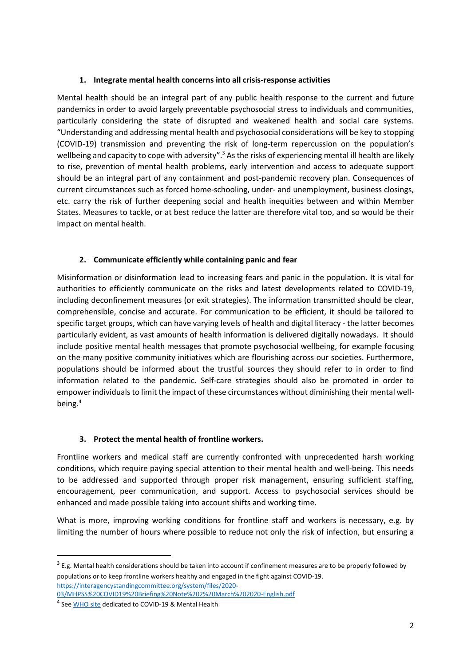### **1. Integrate mental health concerns into all crisis-response activities**

Mental health should be an integral part of any public health response to the current and future pandemics in order to avoid largely preventable psychosocial stress to individuals and communities, particularly considering the state of disrupted and weakened health and social care systems. "Understanding and addressing mental health and psychosocial considerations will be key to stopping (COVID-19) transmission and preventing the risk of long-term repercussion on the population's wellbeing and capacity to cope with adversity".<sup>3</sup> As the risks of experiencing mental ill health are likely to rise, prevention of mental health problems, early intervention and access to adequate support should be an integral part of any containment and post-pandemic recovery plan. Consequences of current circumstances such as forced home-schooling, under- and unemployment, business closings, etc. carry the risk of further deepening social and health inequities between and within Member States. Measures to tackle, or at best reduce the latter are therefore vital too, and so would be their impact on mental health.

### **2. Communicate efficiently while containing panic and fear**

Misinformation or disinformation lead to increasing fears and panic in the population. It is vital for authorities to efficiently communicate on the risks and latest developments related to COVID-19, including deconfinement measures (or exit strategies). The information transmitted should be clear, comprehensible, concise and accurate. For communication to be efficient, it should be tailored to specific target groups, which can have varying levels of health and digital literacy - the latter becomes particularly evident, as vast amounts of health information is delivered digitally nowadays. It should include positive mental health messages that promote psychosocial wellbeing, for example focusing on the many positive community initiatives which are flourishing across our societies. Furthermore, populations should be informed about the trustful sources they should refer to in order to find information related to the pandemic. Self-care strategies should also be promoted in order to empower individuals to limit the impact of these circumstances without diminishing their mental wellbeing.<sup>4</sup>

### **3. Protect the mental health of frontline workers.**

Frontline workers and medical staff are currently confronted with unprecedented harsh working conditions, which require paying special attention to their mental health and well-being. This needs to be addressed and supported through proper risk management, ensuring sufficient staffing, encouragement, peer communication, and support. Access to psychosocial services should be enhanced and made possible taking into account shifts and working time.

What is more, improving working conditions for frontline staff and workers is necessary, e.g. by limiting the number of hours where possible to reduce not only the risk of infection, but ensuring a

1

 $3$  E.g. Mental health considerations should be taken into account if confinement measures are to be properly followed by populations or to keep frontline workers healthy and engaged in the fight against COVID-19. [https://interagencystandingcommittee.org/system/files/2020-](https://interagencystandingcommittee.org/system/files/2020-03/MHPSS%20COVID19%20Briefing%20Note%202%20March%202020-English.pdf) [03/MHPSS%20COVID19%20Briefing%20Note%202%20March%202020-English.pdf](https://interagencystandingcommittee.org/system/files/2020-03/MHPSS%20COVID19%20Briefing%20Note%202%20March%202020-English.pdf)

<sup>&</sup>lt;sup>4</sup> See **WHO site** dedicated to COVID-19 & Mental Health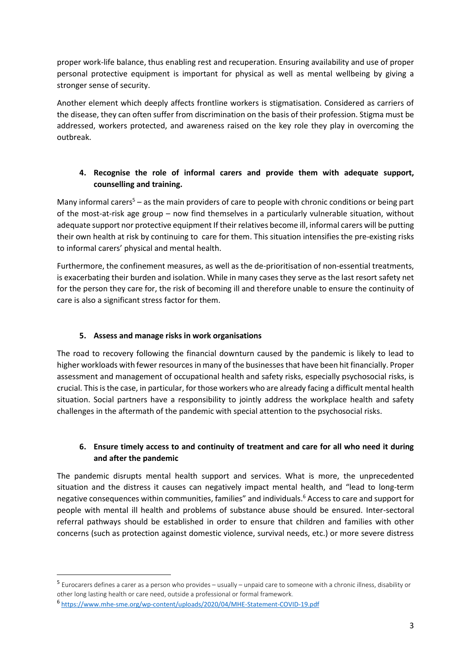proper work-life balance, thus enabling rest and recuperation. Ensuring availability and use of proper personal protective equipment is important for physical as well as mental wellbeing by giving a stronger sense of security.

Another element which deeply affects frontline workers is stigmatisation. Considered as carriers of the disease, they can often suffer from discrimination on the basis of their profession. Stigma must be addressed, workers protected, and awareness raised on the key role they play in overcoming the outbreak.

# **4. Recognise the role of informal carers and provide them with adequate support, counselling and training.**

Many informal carers<sup>5</sup> – as the main providers of care to people with chronic conditions or being part of the most-at-risk age group – now find themselves in a particularly vulnerable situation, without adequate support nor protective equipment If their relatives become ill, informal carers will be putting their own health at risk by continuing to care for them. This situation intensifies the pre-existing risks to informal carers' physical and mental health.

Furthermore, the confinement measures, as well as the de-prioritisation of non-essential treatments, is exacerbating their burden and isolation. While in many cases they serve as the last resort safety net for the person they care for, the risk of becoming ill and therefore unable to ensure the continuity of care is also a significant stress factor for them.

## **5. Assess and manage risks in work organisations**

The road to recovery following the financial downturn caused by the pandemic is likely to lead to higher workloads with fewer resources in many of the businesses that have been hit financially. Proper assessment and management of occupational health and safety risks, especially psychosocial risks, is crucial. This is the case, in particular, for those workers who are already facing a difficult mental health situation. Social partners have a responsibility to jointly address the workplace health and safety challenges in the aftermath of the pandemic with special attention to the psychosocial risks.

# **6. Ensure timely access to and continuity of treatment and care for all who need it during and after the pandemic**

The pandemic disrupts mental health support and services. What is more, the unprecedented situation and the distress it causes can negatively impact mental health, and "lead to long-term negative consequences within communities, families" and individuals.<sup>6</sup> Access to care and support for people with mental ill health and problems of substance abuse should be ensured. Inter-sectoral referral pathways should be established in order to ensure that children and families with other concerns (such as protection against domestic violence, survival needs, etc.) or more severe distress

 $\overline{a}$ 

<sup>5</sup> Eurocarers defines a carer as a person who provides – usually – unpaid care to someone with a chronic illness, disability or other long lasting health or care need, outside a professional or formal framework.

<sup>6</sup> <https://www.mhe-sme.org/wp-content/uploads/2020/04/MHE-Statement-COVID-19.pdf>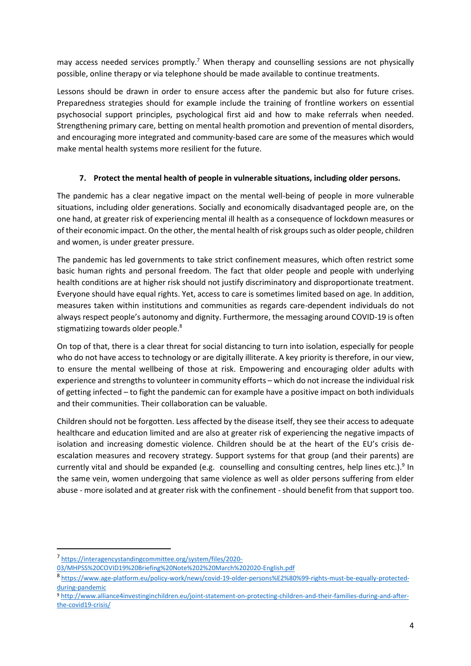may access needed services promptly.<sup>7</sup> When therapy and counselling sessions are not physically possible, online therapy or via telephone should be made available to continue treatments.

Lessons should be drawn in order to ensure access after the pandemic but also for future crises. Preparedness strategies should for example include the training of frontline workers on essential psychosocial support principles, psychological first aid and how to make referrals when needed. Strengthening primary care, betting on mental health promotion and prevention of mental disorders, and encouraging more integrated and community-based care are some of the measures which would make mental health systems more resilient for the future.

### **7. Protect the mental health of people in vulnerable situations, including older persons.**

The pandemic has a clear negative impact on the mental well-being of people in more vulnerable situations, including older generations. Socially and economically disadvantaged people are, on the one hand, at greater risk of experiencing mental ill health as a consequence of lockdown measures or of their economic impact. On the other, the mental health of risk groups such as older people, children and women, is under greater pressure.

The pandemic has led governments to take strict confinement measures, which often restrict some basic human rights and personal freedom. The fact that older people and people with underlying health conditions are at higher risk should not justify discriminatory and disproportionate treatment. Everyone should have equal rights. Yet, access to care is sometimes limited based on age. In addition, measures taken within institutions and communities as regards care-dependent individuals do not always respect people's autonomy and dignity. Furthermore, the messaging around COVID-19 is often stigmatizing towards older people.<sup>8</sup>

On top of that, there is a clear threat for social distancing to turn into isolation, especially for people who do not have access to technology or are digitally illiterate. A key priority is therefore, in our view, to ensure the mental wellbeing of those at risk. Empowering and encouraging older adults with experience and strengths to volunteer in community efforts – which do not increase the individual risk of getting infected – to fight the pandemic can for example have a positive impact on both individuals and their communities. Their collaboration can be valuable.

Children should not be forgotten. Less affected by the disease itself, they see their access to adequate healthcare and education limited and are also at greater risk of experiencing the negative impacts of isolation and increasing domestic violence. Children should be at the heart of the EU's crisis deescalation measures and recovery strategy. Support systems for that group (and their parents) are currently vital and should be expanded (e.g. counselling and consulting centres, help lines etc.).<sup>9</sup> In the same vein, women undergoing that same violence as well as older persons suffering from elder abuse - more isolated and at greater risk with the confinement - should benefit from that support too.

 $\overline{a}$ 

<sup>7</sup> [https://interagencystandingcommittee.org/system/files/2020-](https://interagencystandingcommittee.org/system/files/2020-03/MHPSS%20COVID19%20Briefing%20Note%202%20March%202020-English.pdf)

[<sup>03/</sup>MHPSS%20COVID19%20Briefing%20Note%202%20March%202020-English.pdf](https://interagencystandingcommittee.org/system/files/2020-03/MHPSS%20COVID19%20Briefing%20Note%202%20March%202020-English.pdf)

<sup>8</sup> [https://www.age-platform.eu/policy-work/news/covid-19-older-persons%E2%80%99-rights-must-be-equally-protected](https://www.age-platform.eu/policy-work/news/covid-19-older-persons%E2%80%99-rights-must-be-equally-protected-during-pandemic)[during-pandemic](https://www.age-platform.eu/policy-work/news/covid-19-older-persons%E2%80%99-rights-must-be-equally-protected-during-pandemic)

<sup>9</sup> [http://www.alliance4investinginchildren.eu/joint-statement-on-protecting-children-and-their-families-during-and-after](http://www.alliance4investinginchildren.eu/joint-statement-on-protecting-children-and-their-families-during-and-after-the-covid19-crisis/)[the-covid19-crisis/](http://www.alliance4investinginchildren.eu/joint-statement-on-protecting-children-and-their-families-during-and-after-the-covid19-crisis/)